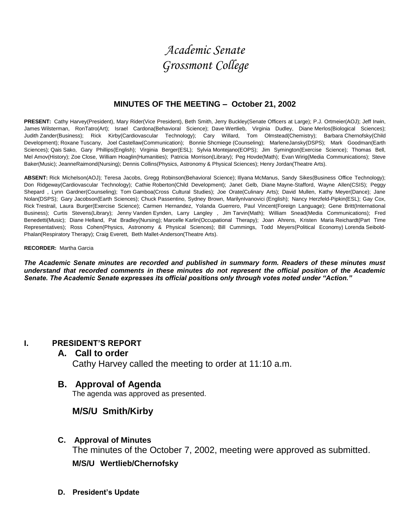# *Academic Senate Grossmont College*

### **MINUTES OF THE MEETING – October 21, 2002**

PRESENT: Cathy Harvey(President), Mary Rider(Vice President), Beth Smith, Jerry Buckley(Senate Officers at Large); P.J. Ortmeier(AOJ); Jeff Irwin, James Wilsterman, RonTatro(Art); Israel Cardona(Behavioral Science); Dave Wertlieb, Virginia Dudley, Diane Merlos(Biological Sciences); Judith Zander(Business); Rick Kirby(Cardiovascular Technology); Cary Willard, Tom Olmstead(Chemistry); Barbara Chernofsky(Child Development); Roxane Tuscany, Joel Castellaw(Communication); Bonnie Shcmiege (Counseling); MarleneJansky(DSPS); Mark Goodman(Earth Sciences); Qais Sako, Gary Phillips(English); Virginia Berger(ESL); Sylvia Montejano(EOPS); Jim Symington(Exercise Science); Thomas Bell, Mel Amov(History); Zoe Close, William Hoaglin(Humanities); Patricia Morrison(Library); Peg Hovde(Math); Evan Wirig(Media Communications); Steve Baker(Music); JeanneRaimond(Nursing); Dennis Collins(Physics, Astronomy & Physical Sciences); Henry Jordan(Theatre Arts).

**ABSENT:** Rick Michelson(AOJ); Teresa Jacobs, Gregg Robinson(Behavioral Science); Illyana McManus, Sandy Sikes(Business Office Technology); Don Ridgeway(Cardiovascular Technology); Cathie Roberton(Child Development); Janet Gelb, Diane Mayne-Stafford, Wayne Allen(CSIS); Peggy Shepard , Lynn Gardner(Counseling); Tom Gamboa(Cross Cultural Studies); Joe Orate(Culinary Arts); David Mullen, Kathy Meyer(Dance); Jane Nolan(DSPS); Gary Jacobson(Earth Sciences); Chuck Passentino, Sydney Brown, MarilynIvanovici (English); Nancy Herzfeld-Pipkin(ESL); Gay Cox, Rick Trestrail, Laura Burger(Exercise Science); Carmen Hernandez, Yolanda Guerrero, Paul Vincent(Foreign Language); Gene Britt(International Business); Curtis Stevens(Library); Jenny Vanden Eynden, Larry Langley , Jim Tarvin(Math); William Snead(Media Communications); Fred Benedetti(Music); Diane Helland, Pat Bradley(Nursing); Marcelle Karlin(Occupational Therapy); Joan Ahrens, Kristen Maria Reichardt(Part Time Representatives); Ross Cohen(Physics, Astronomy & Physical Sciences); Bill Cummings, Todd Meyers(Political Economy) Lorenda Seibold-Phalan(Respiratory Therapy); Craig Everett, Beth Mallet-Anderson(Theatre Arts).

#### **RECORDER:** Martha Garcia

*The Academic Senate minutes are recorded and published in summary form. Readers of these minutes must understand that recorded comments in these minutes do not represent the official position of the Academic Senate. The Academic Senate expresses its official positions only through votes noted under "Action."*

### **I. PRESIDENT'S REPORT**

#### **A. Call to order**

Cathy Harvey called the meeting to order at 11:10 a.m.

### **B. Approval of Agenda**

The agenda was approved as presented.

### **M/S/U Smith/Kirby**

### **C. Approval of Minutes**

The minutes of the October 7, 2002, meeting were approved as submitted.

**M/S/U Wertlieb/Chernofsky**

**D. President's Update**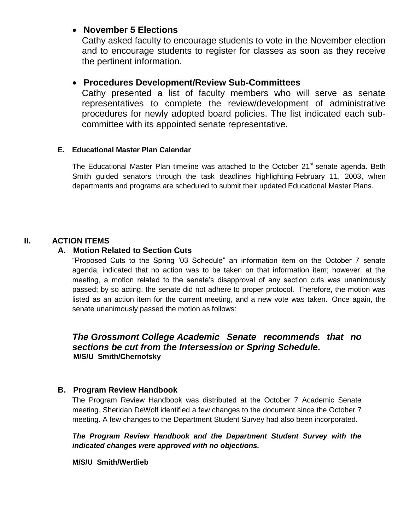### **November 5 Elections**

Cathy asked faculty to encourage students to vote in the November election and to encourage students to register for classes as soon as they receive the pertinent information.

### **Procedures Development/Review Sub-Committees**

Cathy presented a list of faculty members who will serve as senate representatives to complete the review/development of administrative procedures for newly adopted board policies. The list indicated each subcommittee with its appointed senate representative.

### **E. Educational Master Plan Calendar**

The Educational Master Plan timeline was attached to the October 21<sup>st</sup> senate agenda. Beth Smith guided senators through the task deadlines highlighting February 11, 2003, when departments and programs are scheduled to submit their updated Educational Master Plans.

### **II. ACTION ITEMS**

### **A. Motion Related to Section Cuts**

"Proposed Cuts to the Spring '03 Schedule" an information item on the October 7 senate agenda, indicated that no action was to be taken on that information item; however, at the meeting, a motion related to the senate's disapproval of any section cuts was unanimously passed; by so acting, the senate did not adhere to proper protocol. Therefore, the motion was listed as an action item for the current meeting, and a new vote was taken. Once again, the senate unanimously passed the motion as follows:

### *The Grossmont College Academic Senate recommends that no sections be cut from the Intersession or Spring Schedule.*  **M/S/U Smith/Chernofsky**

### **B. Program Review Handbook**

The Program Review Handbook was distributed at the October 7 Academic Senate meeting. Sheridan DeWolf identified a few changes to the document since the October 7 meeting. A few changes to the Department Student Survey had also been incorporated.

### *The Program Review Handbook and the Department Student Survey with the indicated changes were approved with no objections.*

#### **M/S/U Smith/Wertlieb**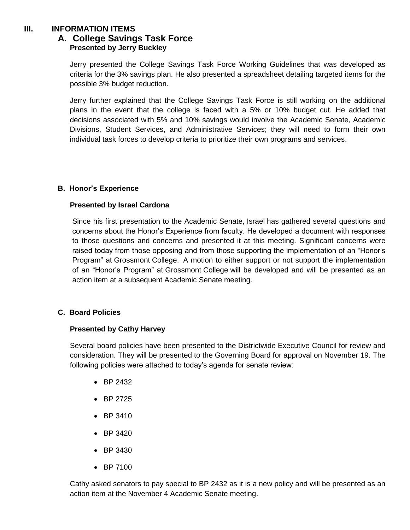### **III. INFORMATION ITEMS**

### **A. College Savings Task Force Presented by Jerry Buckley**

Jerry presented the College Savings Task Force Working Guidelines that was developed as criteria for the 3% savings plan. He also presented a spreadsheet detailing targeted items for the possible 3% budget reduction.

Jerry further explained that the College Savings Task Force is still working on the additional plans in the event that the college is faced with a 5% or 10% budget cut. He added that decisions associated with 5% and 10% savings would involve the Academic Senate, Academic Divisions, Student Services, and Administrative Services; they will need to form their own individual task forces to develop criteria to prioritize their own programs and services.

### **B. Honor's Experience**

### **Presented by Israel Cardona**

Since his first presentation to the Academic Senate, Israel has gathered several questions and concerns about the Honor's Experience from faculty. He developed a document with responses to those questions and concerns and presented it at this meeting. Significant concerns were raised today from those opposing and from those supporting the implementation of an "Honor's Program" at Grossmont College. A motion to either support or not support the implementation of an "Honor's Program" at Grossmont College will be developed and will be presented as an action item at a subsequent Academic Senate meeting.

### **C. Board Policies**

#### **Presented by Cathy Harvey**

Several board policies have been presented to the Districtwide Executive Council for review and consideration. They will be presented to the Governing Board for approval on November 19. The following policies were attached to today's agenda for senate review:

- BP 2432
- BP 2725
- BP 3410
- $-BP 3420$
- BP 3430
- BP 7100

Cathy asked senators to pay special to BP 2432 as it is a new policy and will be presented as an action item at the November 4 Academic Senate meeting.